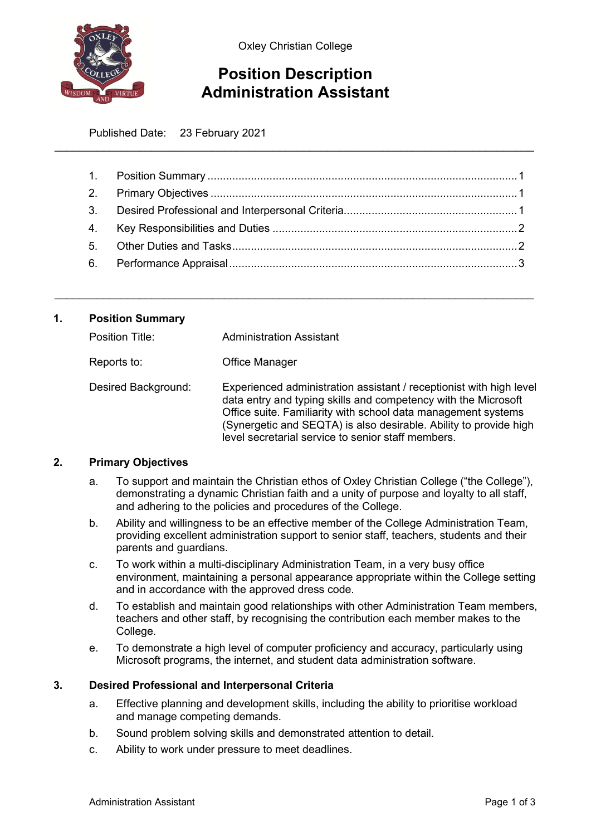

Oxley Christian College

# **Position Description Administration Assistant**

\_\_\_\_\_\_\_\_\_\_\_\_\_\_\_\_\_\_\_\_\_\_\_\_\_\_\_\_\_\_\_\_\_\_\_\_\_\_\_\_\_\_\_\_\_\_\_\_\_\_\_\_\_\_\_\_\_\_\_\_\_\_\_\_\_\_\_\_\_\_\_\_\_\_\_\_\_\_\_

Published Date: 23 February 2021

\_\_\_\_\_\_\_\_\_\_\_\_\_\_\_\_\_\_\_\_\_\_\_\_\_\_\_\_\_\_\_\_\_\_\_\_\_\_\_\_\_\_\_\_\_\_\_\_\_\_\_\_\_\_\_\_\_\_\_\_\_\_\_\_\_\_\_\_\_\_\_\_\_\_\_\_\_\_\_

# <span id="page-0-0"></span>**1. Position Summary**

| Position Title:     | Administration Assistant                                                                                                                                                                                                                                                                                                          |
|---------------------|-----------------------------------------------------------------------------------------------------------------------------------------------------------------------------------------------------------------------------------------------------------------------------------------------------------------------------------|
| Reports to:         | Office Manager                                                                                                                                                                                                                                                                                                                    |
| Desired Background: | Experienced administration assistant / receptionist with high level<br>data entry and typing skills and competency with the Microsoft<br>Office suite. Familiarity with school data management systems<br>(Synergetic and SEQTA) is also desirable. Ability to provide high<br>level secretarial service to senior staff members. |

# <span id="page-0-1"></span>**2. Primary Objectives**

- a. To support and maintain the Christian ethos of Oxley Christian College ("the College"), demonstrating a dynamic Christian faith and a unity of purpose and loyalty to all staff, and adhering to the policies and procedures of the College.
- b. Ability and willingness to be an effective member of the College Administration Team, providing excellent administration support to senior staff, teachers, students and their parents and guardians.
- c. To work within a multi-disciplinary Administration Team, in a very busy office environment, maintaining a personal appearance appropriate within the College setting and in accordance with the approved dress code.
- d. To establish and maintain good relationships with other Administration Team members, teachers and other staff, by recognising the contribution each member makes to the College.
- e. To demonstrate a high level of computer proficiency and accuracy, particularly using Microsoft programs, the internet, and student data administration software.

# <span id="page-0-2"></span>**3. Desired Professional and Interpersonal Criteria**

- a. Effective planning and development skills, including the ability to prioritise workload and manage competing demands.
- b. Sound problem solving skills and demonstrated attention to detail.
- c. Ability to work under pressure to meet deadlines.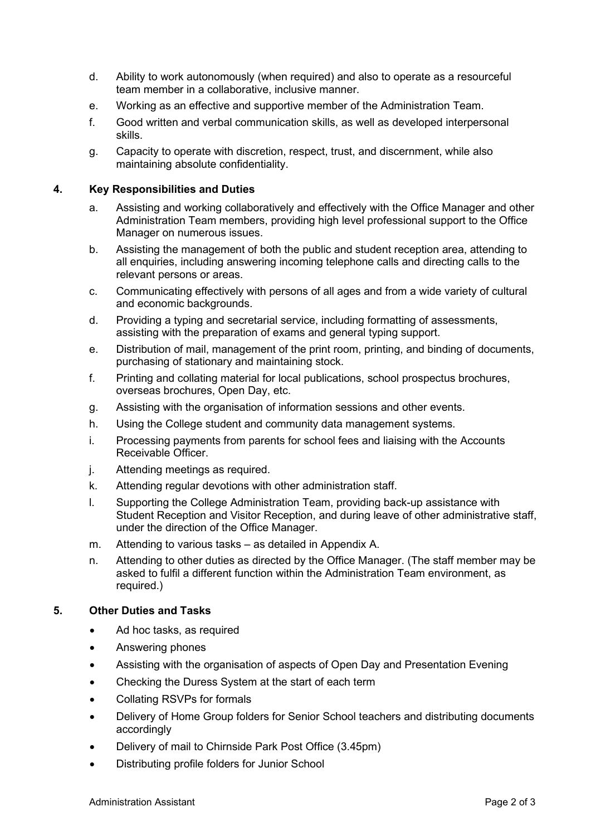- d. Ability to work autonomously (when required) and also to operate as a resourceful team member in a collaborative, inclusive manner.
- e. Working as an effective and supportive member of the Administration Team.
- f. Good written and verbal communication skills, as well as developed interpersonal skills.
- g. Capacity to operate with discretion, respect, trust, and discernment, while also maintaining absolute confidentiality.

# <span id="page-1-0"></span>**4. Key Responsibilities and Duties**

- a. Assisting and working collaboratively and effectively with the Office Manager and other Administration Team members, providing high level professional support to the Office Manager on numerous issues.
- b. Assisting the management of both the public and student reception area, attending to all enquiries, including answering incoming telephone calls and directing calls to the relevant persons or areas.
- c. Communicating effectively with persons of all ages and from a wide variety of cultural and economic backgrounds.
- d. Providing a typing and secretarial service, including formatting of assessments, assisting with the preparation of exams and general typing support.
- e. Distribution of mail, management of the print room, printing, and binding of documents, purchasing of stationary and maintaining stock.
- f. Printing and collating material for local publications, school prospectus brochures, overseas brochures, Open Day, etc.
- g. Assisting with the organisation of information sessions and other events.
- h. Using the College student and community data management systems.
- i. Processing payments from parents for school fees and liaising with the Accounts Receivable Officer.
- j. Attending meetings as required.
- k. Attending regular devotions with other administration staff.
- l. Supporting the College Administration Team, providing back-up assistance with Student Reception and Visitor Reception, and during leave of other administrative staff, under the direction of the Office Manager.
- m. Attending to various tasks as detailed in Appendix A.
- n. Attending to other duties as directed by the Office Manager. (The staff member may be asked to fulfil a different function within the Administration Team environment, as required.)

# <span id="page-1-1"></span>**5. Other Duties and Tasks**

- Ad hoc tasks, as required
- Answering phones
- Assisting with the organisation of aspects of Open Day and Presentation Evening
- Checking the Duress System at the start of each term
- Collating RSVPs for formals
- Delivery of Home Group folders for Senior School teachers and distributing documents accordingly
- Delivery of mail to Chirnside Park Post Office (3.45pm)
- Distributing profile folders for Junior School